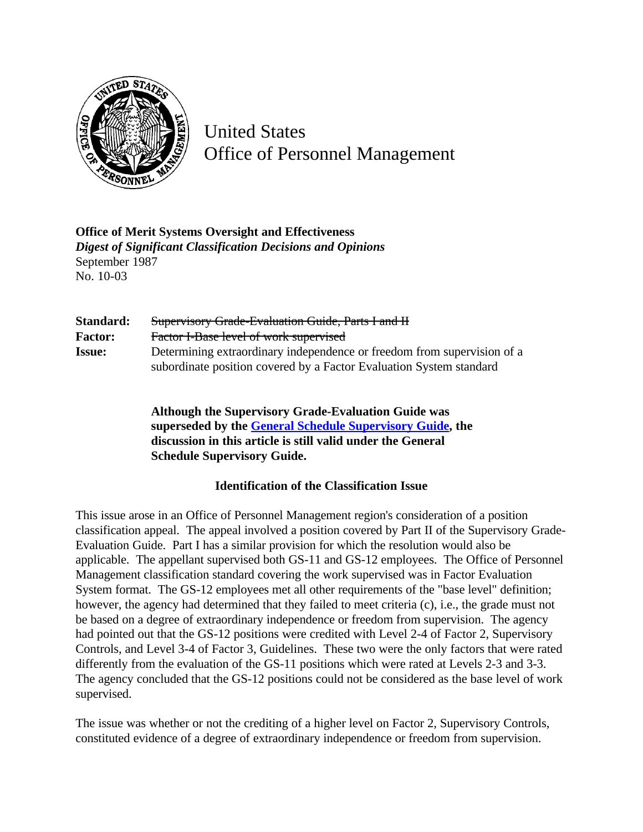

United States Office of Personnel Management

**Office of Merit Systems Oversight and Effectiveness** *Digest of Significant Classification Decisions and Opinions* September 1987 No. 10-03

| Standard:      | Supervisory Grade-Evaluation Guide, Parts I and H                       |
|----------------|-------------------------------------------------------------------------|
| <b>Factor:</b> | Factor I-Base level of work supervised                                  |
| <b>Issue:</b>  | Determining extraordinary independence or freedom from supervision of a |
|                | subordinate position covered by a Factor Evaluation System standard     |

**Although the Supervisory Grade-Evaluation Guide was superseded by the [General Schedule Supervisory Guide,](http://www.opm.gov/hr/fedclass/gssg.pdf) the discussion in this article is still valid under the General Schedule Supervisory Guide.**

## **Identification of the Classification Issue**

This issue arose in an Office of Personnel Management region's consideration of a position classification appeal. The appeal involved a position covered by Part II of the Supervisory Grade-Evaluation Guide. Part I has a similar provision for which the resolution would also be applicable. The appellant supervised both GS-11 and GS-12 employees. The Office of Personnel Management classification standard covering the work supervised was in Factor Evaluation System format. The GS-12 employees met all other requirements of the "base level" definition; however, the agency had determined that they failed to meet criteria (c), i.e., the grade must not be based on a degree of extraordinary independence or freedom from supervision. The agency had pointed out that the GS-12 positions were credited with Level 2-4 of Factor 2, Supervisory Controls, and Level 3-4 of Factor 3, Guidelines. These two were the only factors that were rated differently from the evaluation of the GS-11 positions which were rated at Levels 2-3 and 3-3. The agency concluded that the GS-12 positions could not be considered as the base level of work supervised.

The issue was whether or not the crediting of a higher level on Factor 2, Supervisory Controls, constituted evidence of a degree of extraordinary independence or freedom from supervision.